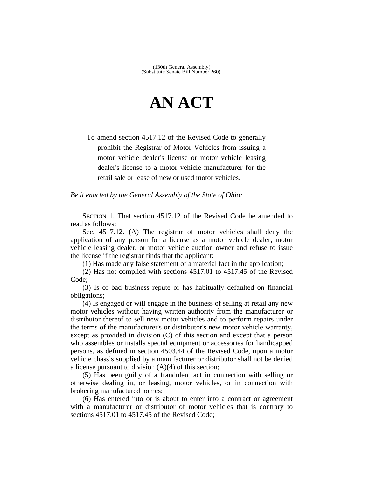## **AN ACT**

To amend section 4517.12 of the Revised Code to generally prohibit the Registrar of Motor Vehicles from issuing a motor vehicle dealer's license or motor vehicle leasing dealer's license to a motor vehicle manufacturer for the retail sale or lease of new or used motor vehicles.

*Be it enacted by the General Assembly of the State of Ohio:*

SECTION 1. That section 4517.12 of the Revised Code be amended to read as follows:

Sec. 4517.12. (A) The registrar of motor vehicles shall deny the application of any person for a license as a motor vehicle dealer, motor vehicle leasing dealer, or motor vehicle auction owner and refuse to issue the license if the registrar finds that the applicant:

(1) Has made any false statement of a material fact in the application;

(2) Has not complied with sections 4517.01 to 4517.45 of the Revised Code;

(3) Is of bad business repute or has habitually defaulted on financial obligations;

(4) Is engaged or will engage in the business of selling at retail any new motor vehicles without having written authority from the manufacturer or distributor thereof to sell new motor vehicles and to perform repairs under the terms of the manufacturer's or distributor's new motor vehicle warranty, except as provided in division (C) of this section and except that a person who assembles or installs special equipment or accessories for handicapped persons, as defined in section 4503.44 of the Revised Code, upon a motor vehicle chassis supplied by a manufacturer or distributor shall not be denied a license pursuant to division  $(A)(4)$  of this section;

(5) Has been guilty of a fraudulent act in connection with selling or otherwise dealing in, or leasing, motor vehicles, or in connection with brokering manufactured homes;

(6) Has entered into or is about to enter into a contract or agreement with a manufacturer or distributor of motor vehicles that is contrary to sections 4517.01 to 4517.45 of the Revised Code;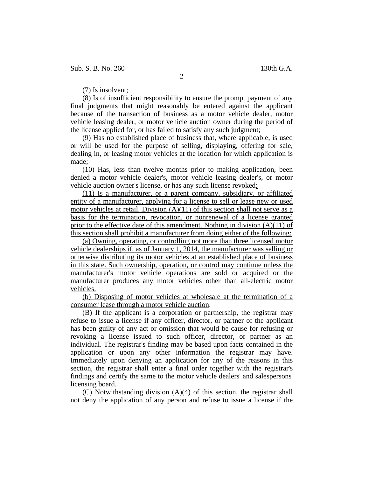Sub. S. B. No. 260 130th G.A.

2

(7) Is insolvent;

(8) Is of insufficient responsibility to ensure the prompt payment of any final judgments that might reasonably be entered against the applicant because of the transaction of business as a motor vehicle dealer, motor vehicle leasing dealer, or motor vehicle auction owner during the period of the license applied for, or has failed to satisfy any such judgment;

(9) Has no established place of business that, where applicable, is used or will be used for the purpose of selling, displaying, offering for sale, dealing in, or leasing motor vehicles at the location for which application is made;

(10) Has, less than twelve months prior to making application, been denied a motor vehicle dealer's, motor vehicle leasing dealer's, or motor vehicle auction owner's license, or has any such license revoked;

(11) Is a manufacturer, or a parent company, subsidiary, or affiliated entity of a manufacturer, applying for a license to sell or lease new or used motor vehicles at retail. Division  $(A)(11)$  of this section shall not serve as a basis for the termination, revocation, or nonrenewal of a license granted prior to the effective date of this amendment. Nothing in division  $(A)(11)$  of this section shall prohibit a manufacturer from doing either of the following:

(a) Owning, operating, or controlling not more than three licensed motor vehicle dealerships if, as of January 1, 2014, the manufacturer was selling or otherwise distributing its motor vehicles at an established place of business in this state. Such ownership, operation, or control may continue unless the manufacturer's motor vehicle operations are sold or acquired or the manufacturer produces any motor vehicles other than all-electric motor vehicles.

(b) Disposing of motor vehicles at wholesale at the termination of a consumer lease through a motor vehicle auction.

(B) If the applicant is a corporation or partnership, the registrar may refuse to issue a license if any officer, director, or partner of the applicant has been guilty of any act or omission that would be cause for refusing or revoking a license issued to such officer, director, or partner as an individual. The registrar's finding may be based upon facts contained in the application or upon any other information the registrar may have. Immediately upon denying an application for any of the reasons in this section, the registrar shall enter a final order together with the registrar's findings and certify the same to the motor vehicle dealers' and salespersons' licensing board.

(C) Notwithstanding division (A)(4) of this section, the registrar shall not deny the application of any person and refuse to issue a license if the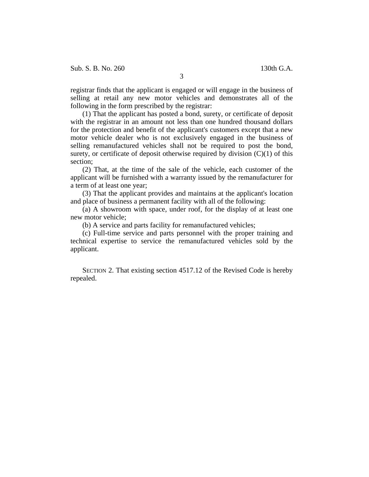registrar finds that the applicant is engaged or will engage in the business of selling at retail any new motor vehicles and demonstrates all of the following in the form prescribed by the registrar:

(1) That the applicant has posted a bond, surety, or certificate of deposit with the registrar in an amount not less than one hundred thousand dollars for the protection and benefit of the applicant's customers except that a new motor vehicle dealer who is not exclusively engaged in the business of selling remanufactured vehicles shall not be required to post the bond, surety, or certificate of deposit otherwise required by division  $(C)(1)$  of this section;

(2) That, at the time of the sale of the vehicle, each customer of the applicant will be furnished with a warranty issued by the remanufacturer for a term of at least one year;

(3) That the applicant provides and maintains at the applicant's location and place of business a permanent facility with all of the following:

(a) A showroom with space, under roof, for the display of at least one new motor vehicle;

(b) A service and parts facility for remanufactured vehicles;

(c) Full-time service and parts personnel with the proper training and technical expertise to service the remanufactured vehicles sold by the applicant.

SECTION 2. That existing section 4517.12 of the Revised Code is hereby repealed.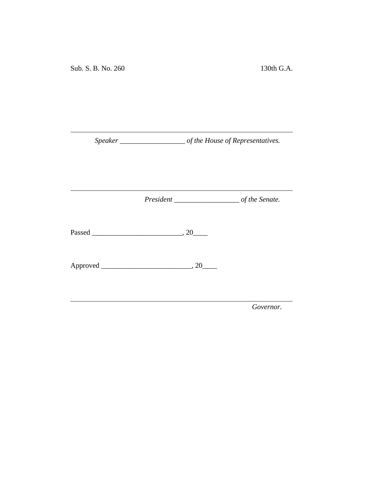*Speaker \_\_\_\_\_\_\_\_\_\_\_\_\_\_\_\_\_\_ of the House of Representatives.*

<u> 1980 - Johann Barbara, martxa a</u>

*President \_\_\_\_\_\_\_\_\_\_\_\_\_\_\_\_\_\_ of the Senate.*

<u> 1989 - Johann Barnett, fransk politiker (</u>

Passed \_\_\_\_\_\_\_\_\_\_\_\_\_\_\_\_\_\_\_\_\_\_\_\_\_, 20\_\_\_\_

Approved \_\_\_\_\_\_\_\_\_\_\_\_\_\_\_\_\_\_\_\_\_\_\_\_\_, 20\_\_\_\_

*Governor.*